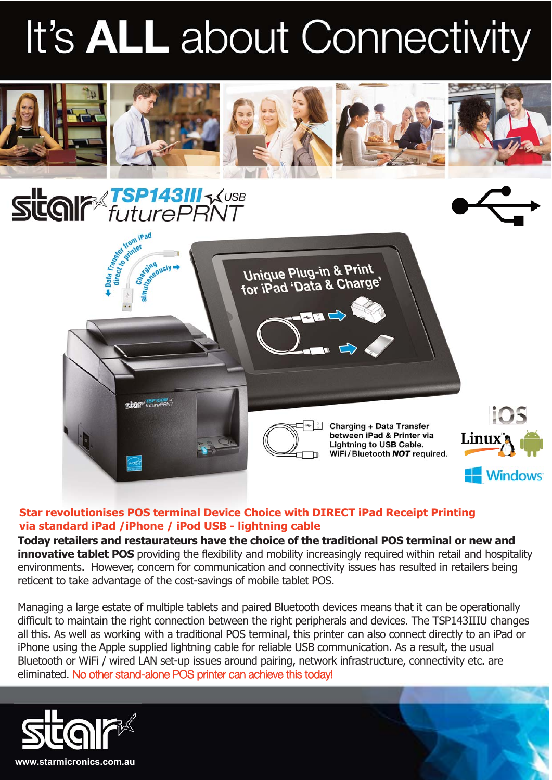## It's **ALL** about Connectivity







## **Star revolutionises POS terminal Device Choice with DIRECT iPad Receipt Printing via standard iPad /iPhone / iPod USB - lightning cable**

**Today retailers and restaurateurs have the choice of the traditional POS terminal or new and innovative tablet POS** providing the flexibility and mobility increasingly required within retail and hospitality environments. However, concern for communication and connectivity issues has resulted in retailers being reticent to take advantage of the cost-savings of mobile tablet POS.

Managing a large estate of multiple tablets and paired Bluetooth devices means that it can be operationally difficult to maintain the right connection between the right peripherals and devices. The TSP143IIIU changes all this. As well as working with a traditional POS terminal, this printer can also connect directly to an iPad or iPhone using the Apple supplied lightning cable for reliable USB communication. As a result, the usual Bluetooth or WiFi / wired LAN set-up issues around pairing, network infrastructure, connectivity etc. are eliminated. No other stand-alone POS printer can achieve this today!